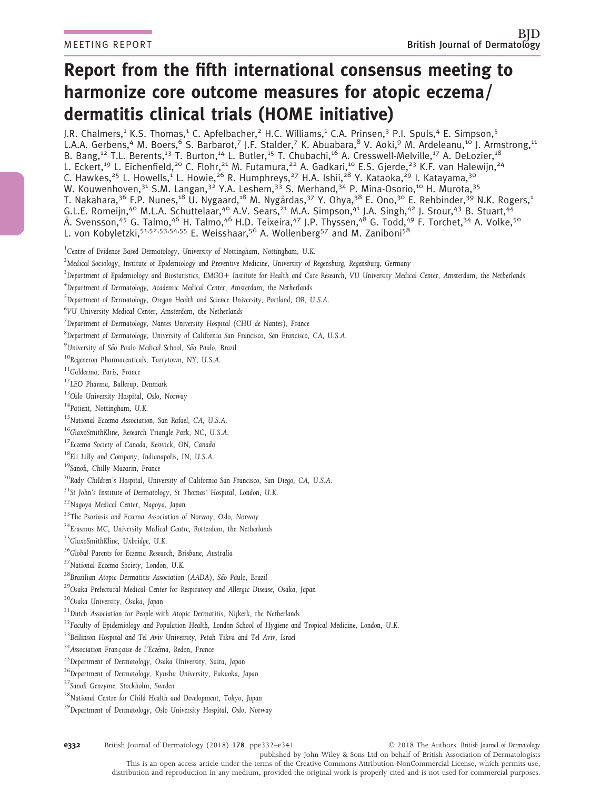# Report from the fifth international consensus meeting to harmonize core outcome measures for atopic eczema/ dermatitis clinical trials (HOME initiative)

J.R. Chalmers,<sup>1</sup> K.S. Thomas,<sup>1</sup> C. Apfelbacher,<sup>2</sup> H.C. Williams,<sup>1</sup> C.A. Prinsen,<sup>3</sup> P.I. Spuls,<sup>4</sup> E. Simpson,<sup>5</sup> L.A.A. Gerbens,<sup>4</sup> M. Boers,<sup>6</sup> S. Barbarot,<sup>7</sup> J.F. Stalder,<sup>7</sup> K. Abuabara,<sup>8</sup> V. Aoki,<sup>9</sup> M. Ardeleanu,<sup>10</sup> J. Armstrong,<sup>11</sup> B. Bang,<sup>12</sup> T.L. Berents,<sup>13</sup> T. Burton,<sup>14</sup> L. Butler,<sup>15</sup> T. Chubachi,<sup>16</sup> A. Cresswell-Melville,<sup>17</sup> A. DeLozier,<sup>18</sup> L. Eckert,<sup>19</sup> L. Eichenfield,<sup>20</sup> C. Flohr,<sup>21</sup> M. Futamura,<sup>22</sup> A. Gadkari,<sup>10</sup> E.S. Gjerde,<sup>23</sup> K.F. van Halewijn,<sup>24</sup> C. Hawkes,<sup>25</sup> L. Howells,<sup>1</sup> L. Howie,<sup>26</sup> R. Humphreys,<sup>27</sup> H.A. Ishii,<sup>28</sup> Y. Kataoka,<sup>29</sup> I. Katayama,<sup>30</sup> W. Kouwenhoven, $^{31}$  S.M. Langan, $^{32}$  Y.A. Leshem, $^{35}$  S. Merhand, $^{34}$  P. Mina-Osorio, $^{10}$  H. Murota, $^{35}$ T. Nakahara,<sup>36</sup> F.P. Nunes,<sup>18</sup> U. Nygaard,<sup>18</sup> M. Nygårdas,<sup>37</sup> Y. Ohya,<sup>38</sup> E. Ono,<sup>30</sup> E. Rehbinder,<sup>39</sup> N.K. Rogers,<sup>1</sup> G.L.E. Romeijn,<sup>40</sup> M.L.A. Schuttelaar,<sup>40</sup> A.V. Sears,<sup>21</sup> M.A. Simpson,<sup>41</sup> J.A. Singh,<sup>42</sup> J. Srour,<sup>43</sup> B. Stuart,<sup>44</sup> Å. Svensson,<sup>45</sup> G. Talmo,<sup>46</sup> H. Talmo,<sup>46</sup> H.D. Teixeira,<sup>47</sup> J.P. Thyssen,<sup>48</sup> G. Todd,<sup>49</sup> F. Torchet,<sup>34</sup> A. Volke,<sup>50</sup> L. von Kobyletzki,<sup>51,52,53,54,55</sup> E. Weisshaar,<sup>56</sup> A. Wollenberg<sup>57</sup> and M. Zaniboni<sup>58</sup> 1 Centre of Evidence Based Dermatology, University of Nottingham, Nottingham, U.K.

 $^2$ Medical Sociology, Institute of Epidemiology and Preventive Medicine, University of Regensburg, Regensburg, Germany

- 
- $^3$ Department of Epidemiology and Biostatistics, EMGO+ Institute for Health and Care Research, VU University Medical Center, Amsterdam, the Netherlands
- 4 Department of Dermatology, Academic Medical Center, Amsterdam, the Netherlands
- 5 Department of Dermatology, Oregon Health and Science University, Portland, OR, U.S.A.
- 6 VU University Medical Center, Amsterdam, the Netherlands
- 7 Department of Dermatology, Nantes University Hospital (CHU de Nantes), France
- 8 Department of Dermatology, University of California San Francisco, San Francisco, CA, U.S.A.
- <sup>9</sup>University of São Paulo Medical School, São Paulo, Brazil
- 10Regeneron Pharmaceuticals, Tarrytown, NY, U.S.A.
- <sup>11</sup>Galderma, Paris, France
- 12LEO Pharma, Ballerup, Denmark
- <sup>13</sup>Oslo University Hospital, Oslo, Norway
- <sup>14</sup>Patient, Nottingham, U.K.
- <sup>15</sup>National Eczema Association, San Rafael, CA, U.S.A.
- 16GlaxoSmithKline, Research Triangle Park, NC, U.S.A.
- <sup>17</sup>Eczema Society of Canada, Keswick, ON, Canada
- 18Eli Lilly and Company, Indianapolis, IN, U.S.A.
- 19Sanofi, Chilly-Mazarin, France
- <sup>20</sup>Rady Children's Hospital, University of California San Francisco, San Diego, CA, U.S.A.
- <sup>21</sup>St John's Institute of Dermatology, St Thomas' Hospital, London, U.K.
- 22Nagoya Medical Center, Nagoya, Japan
- <sup>23</sup>The Psoriasis and Eczema Association of Norway, Oslo, Norway
- <sup>24</sup>Erasmus MC, University Medical Centre, Rotterdam, the Netherlands
- <sup>25</sup>GlaxoSmithKline, Uxbridge, U.K.
- 26Global Parents for Eczema Research, Brisbane, Australia
- 27National Eczema Society, London, U.K.
- <sup>28</sup>Brazilian Atopic Dermatitis Association (AADA), São Paulo, Brazil
- <sup>29</sup>Osaka Prefectural Medical Center for Respiratory and Allergic Disease, Osaka, Japan
- 30Osaka University, Osaka, Japan
- <sup>31</sup>Dutch Association for People with Atopic Dermatitis, Nijkerk, the Netherlands
- <sup>32</sup>Faculty of Epidemiology and Population Health, London School of Hygiene and Tropical Medicine, London, U.K.
- <sup>33</sup>Beilinson Hospital and Tel Aviv University, Petah Tikva and Tel Aviv, Israel
- <sup>34</sup> Association Française de l'Eczéma, Redon, France
- <sup>35</sup>Department of Dermatology, Osaka University, Suita, Japan
- 36Department of Dermatology, Kyushu University, Fukuoka, Japan
- 37Sanofi Genzyme, Stockholm, Sweden
- <sup>38</sup>National Centre for Child Health and Development, Tokyo, Japan
- <sup>39</sup>Department of Dermatology, Oslo University Hospital, Oslo, Norway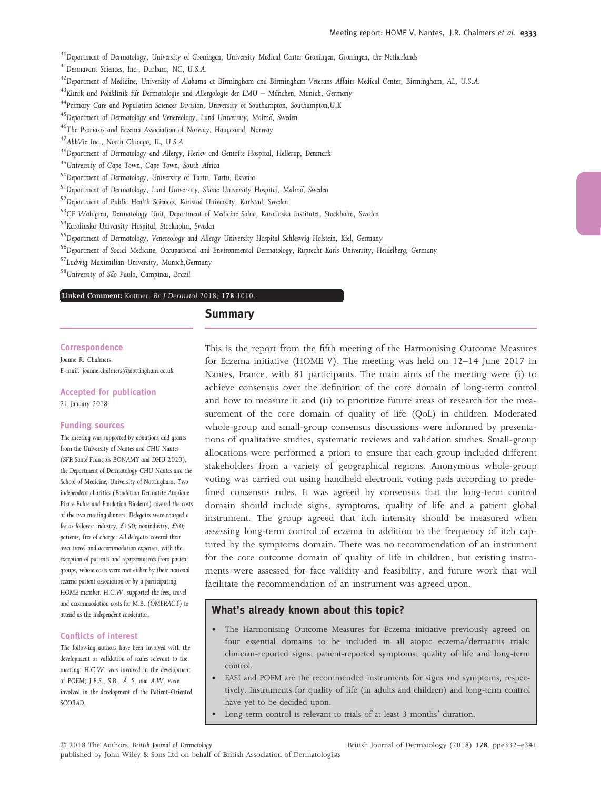<sup>40</sup>Department of Dermatology, University of Groningen, University Medical Center Groningen, Groningen, the Netherlands

41Dermavant Sciences, Inc., Durham, NC, U.S.A.

42Department of Medicine, University of Alabama at Birmingham and Birmingham Veterans Affairs Medical Center, Birmingham, AL, U.S.A.

 $43$ Klinik und Poliklinik für Dermatologie und Allergologie der LMU – München, Munich, Germany

<sup>44</sup>Primary Care and Population Sciences Division, University of Southampton, Southampton, U.K

 $45$ Department of Dermatology and Venereology, Lund University, Malmö, Sweden

46The Psoriasis and Eczema Association of Norway, Haugesund, Norway

47AbbVie Inc., North Chicago, IL, U.S.A

48Department of Dermatology and Allergy, Herlev and Gentofte Hospital, Hellerup, Denmark

49University of Cape Town, Cape Town, South Africa

50Department of Dermatology, University of Tartu, Tartu, Estonia

<sup>51</sup>Department of Dermatology, Lund University, Skåne University Hospital, Malmö, Sweden

<sup>52</sup>Department of Public Health Sciences, Karlstad University, Karlstad, Sweden

53CF Wahlgren, Dermatology Unit, Department of Medicine Solna, Karolinska Institutet, Stockholm, Sweden

54Karolinska University Hospital, Stockholm, Sweden

55Department of Dermatology, Venereology and Allergy University Hospital Schleswig-Holstein, Kiel, Germany

<sup>56</sup>Department of Social Medicine, Occupational and Environmental Dermatology, Ruprecht Karls University, Heidelberg, Germany

57Ludwig-Maximilian University, Munich,Germany

<sup>58</sup>University of São Paulo, Campinas, Brazil

## Linked Comment: [Kottner.](https://doi.org/10.1111/bjd.16524) Br J Dermatol 2018; 178:1010.

# Summary

Correspondence

Joanne R. Chalmers. E-mail: joanne.chalmers@nottingham.ac.uk

## Accepted for publication 21 January 2018

# Funding sources

The meeting was supported by donations and grants from the University of Nantes and CHU Nantes (SFR Santé François BONAMY and DHU 2020), the Department of Dermatology CHU Nantes and the School of Medicine, University of Nottingham. Two independent charities (Fondation Dermatite Atopique Pierre Fabre and Fondation Bioderm) covered the costs of the two meeting dinners. Delegates were charged a fee as follows: industry, £150; nonindustry, £50; patients, free of charge. All delegates covered their own travel and accommodation expenses, with the exception of patients and representatives from patient groups, whose costs were met either by their national eczema patient association or by a participating HOME member. H.C.W. supported the fees, travel and accommodation costs for M.B. (OMERACT) to attend as the independent moderator.

### Conflicts of interest

The following authors have been involved with the development or validation of scales relevant to the meeting: H.C.W. was involved in the development of POEM; J.F.S., S.B., A. S. and A.W. were involved in the development of the Patient-Oriented SCORAD.

This is the report from the fifth meeting of the Harmonising Outcome Measures for Eczema initiative (HOME V). The meeting was held on 12–14 June 2017 in Nantes, France, with 81 participants. The main aims of the meeting were (i) to achieve consensus over the definition of the core domain of long-term control and how to measure it and (ii) to prioritize future areas of research for the measurement of the core domain of quality of life (QoL) in children. Moderated whole-group and small-group consensus discussions were informed by presentations of qualitative studies, systematic reviews and validation studies. Small-group allocations were performed a priori to ensure that each group included different stakeholders from a variety of geographical regions. Anonymous whole-group voting was carried out using handheld electronic voting pads according to predefined consensus rules. It was agreed by consensus that the long-term control domain should include signs, symptoms, quality of life and a patient global instrument. The group agreed that itch intensity should be measured when assessing long-term control of eczema in addition to the frequency of itch captured by the symptoms domain. There was no recommendation of an instrument for the core outcome domain of quality of life in children, but existing instruments were assessed for face validity and feasibility, and future work that will facilitate the recommendation of an instrument was agreed upon.

# What's already known about this topic?

- The Harmonising Outcome Measures for Eczema initiative previously agreed on four essential domains to be included in all atopic eczema/dermatitis trials: clinician-reported signs, patient-reported symptoms, quality of life and long-term control.
- EASI and POEM are the recommended instruments for signs and symptoms, respectively. Instruments for quality of life (in adults and children) and long-term control have yet to be decided upon.
- Long-term control is relevant to trials of at least 3 months' duration.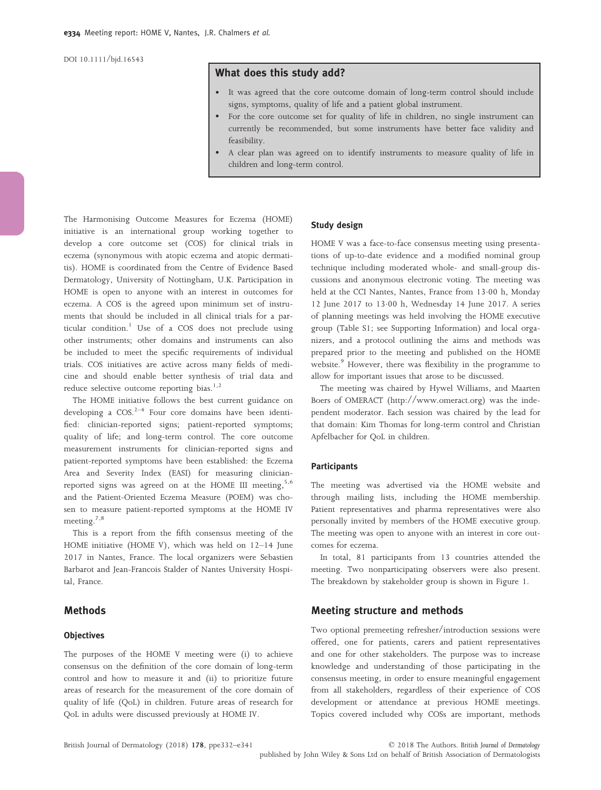DOI 10.1111/bjd.16543

# What does this study add?

- It was agreed that the core outcome domain of long-term control should include signs, symptoms, quality of life and a patient global instrument.
- For the core outcome set for quality of life in children, no single instrument can currently be recommended, but some instruments have better face validity and feasibility.
- A clear plan was agreed on to identify instruments to measure quality of life in children and long-term control.

The Harmonising Outcome Measures for Eczema (HOME) initiative is an international group working together to develop a core outcome set (COS) for clinical trials in eczema (synonymous with atopic eczema and atopic dermatitis). HOME is coordinated from the Centre of Evidence Based Dermatology, University of Nottingham, U.K. Participation in HOME is open to anyone with an interest in outcomes for eczema. A COS is the agreed upon minimum set of instruments that should be included in all clinical trials for a particular condition. $1$  Use of a COS does not preclude using other instruments; other domains and instruments can also be included to meet the specific requirements of individual trials. COS initiatives are active across many fields of medicine and should enable better synthesis of trial data and reduce selective outcome reporting bias.<sup>1,2</sup>

The HOME initiative follows the best current guidance on developing a  $COS.<sup>2-4</sup>$  Four core domains have been identified: clinician-reported signs; patient-reported symptoms; quality of life; and long-term control. The core outcome measurement instruments for clinician-reported signs and patient-reported symptoms have been established: the Eczema Area and Severity Index (EASI) for measuring clinicianreported signs was agreed on at the HOME III meeting,  $5,6$ and the Patient-Oriented Eczema Measure (POEM) was chosen to measure patient-reported symptoms at the HOME IV meeting.<sup>7,8</sup>

This is a report from the fifth consensus meeting of the HOME initiative (HOME V), which was held on 12–14 June 2017 in Nantes, France. The local organizers were Sebastien Barbarot and Jean-Francois Stalder of Nantes University Hospital, France.

## **Methods**

#### **Objectives**

The purposes of the HOME V meeting were (i) to achieve consensus on the definition of the core domain of long-term control and how to measure it and (ii) to prioritize future areas of research for the measurement of the core domain of quality of life (QoL) in children. Future areas of research for QoL in adults were discussed previously at HOME IV.

#### Study design

HOME V was a face-to-face consensus meeting using presentations of up-to-date evidence and a modified nominal group technique including moderated whole- and small-group discussions and anonymous electronic voting. The meeting was held at the CCI Nantes, Nantes, France from 13.00 h, Monday 12 June 2017 to 1300 h, Wednesday 14 June 2017. A series of planning meetings was held involving the HOME executive group (Table S1; see Supporting Information) and local organizers, and a protocol outlining the aims and methods was prepared prior to the meeting and published on the HOME website.<sup>9</sup> However, there was flexibility in the programme to allow for important issues that arose to be discussed.

The meeting was chaired by Hywel Williams, and Maarten Boers of OMERACT [\(http://www.omeract.org\)](http://www.omeract.org) was the independent moderator. Each session was chaired by the lead for that domain: Kim Thomas for long-term control and Christian Apfelbacher for QoL in children.

#### **Participants**

The meeting was advertised via the HOME website and through mailing lists, including the HOME membership. Patient representatives and pharma representatives were also personally invited by members of the HOME executive group. The meeting was open to anyone with an interest in core outcomes for eczema.

In total, 81 participants from 13 countries attended the meeting. Two nonparticipating observers were also present. The breakdown by stakeholder group is shown in Figure 1.

## Meeting structure and methods

Two optional premeeting refresher/introduction sessions were offered, one for patients, carers and patient representatives and one for other stakeholders. The purpose was to increase knowledge and understanding of those participating in the consensus meeting, in order to ensure meaningful engagement from all stakeholders, regardless of their experience of COS development or attendance at previous HOME meetings. Topics covered included why COSs are important, methods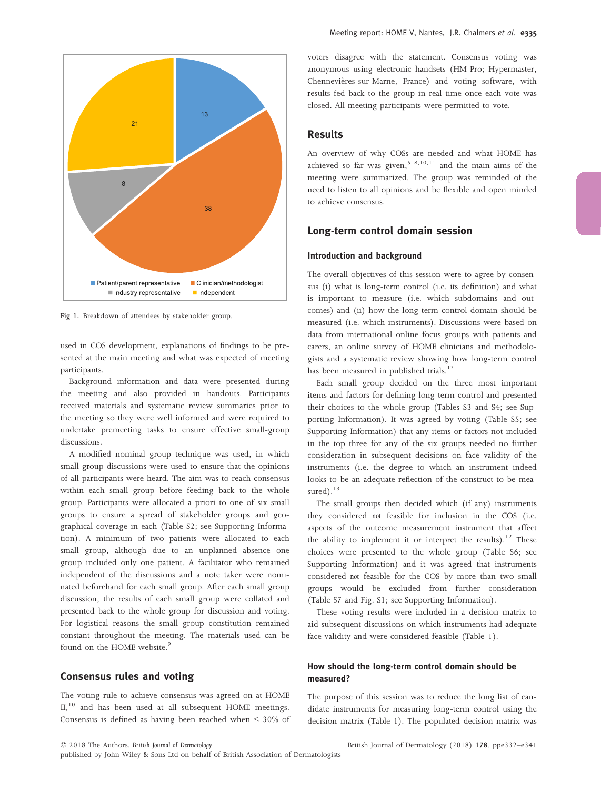



Fig 1. Breakdown of attendees by stakeholder group.

used in COS development, explanations of findings to be presented at the main meeting and what was expected of meeting participants.

Background information and data were presented during the meeting and also provided in handouts. Participants received materials and systematic review summaries prior to the meeting so they were well informed and were required to undertake premeeting tasks to ensure effective small-group discussions.

A modified nominal group technique was used, in which small-group discussions were used to ensure that the opinions of all participants were heard. The aim was to reach consensus within each small group before feeding back to the whole group. Participants were allocated a priori to one of six small groups to ensure a spread of stakeholder groups and geographical coverage in each (Table S2; see Supporting Information). A minimum of two patients were allocated to each small group, although due to an unplanned absence one group included only one patient. A facilitator who remained independent of the discussions and a note taker were nominated beforehand for each small group. After each small group discussion, the results of each small group were collated and presented back to the whole group for discussion and voting. For logistical reasons the small group constitution remained constant throughout the meeting. The materials used can be found on the HOME website.<sup>9</sup>

# Consensus rules and voting

The voting rule to achieve consensus was agreed on at HOME II,<sup>10</sup> and has been used at all subsequent HOME meetings. Consensus is defined as having been reached when < 30% of voters disagree with the statement. Consensus voting was anonymous using electronic handsets (HM-Pro; Hypermaster, Chennevières-sur-Marne, France) and voting software, with results fed back to the group in real time once each vote was closed. All meeting participants were permitted to vote.

# Results

An overview of why COSs are needed and what HOME has achieved so far was given,<sup>5–8,10,11</sup> and the main aims of the meeting were summarized. The group was reminded of the need to listen to all opinions and be flexible and open minded to achieve consensus.

## Long-term control domain session

## Introduction and background

The overall objectives of this session were to agree by consensus (i) what is long-term control (i.e. its definition) and what is important to measure (i.e. which subdomains and outcomes) and (ii) how the long-term control domain should be measured (i.e. which instruments). Discussions were based on data from international online focus groups with patients and carers, an online survey of HOME clinicians and methodologists and a systematic review showing how long-term control has been measured in published trials.<sup>12</sup>

Each small group decided on the three most important items and factors for defining long-term control and presented their choices to the whole group (Tables S3 and S4; see Supporting Information). It was agreed by voting (Table S5; see Supporting Information) that any items or factors not included in the top three for any of the six groups needed no further consideration in subsequent decisions on face validity of the instruments (i.e. the degree to which an instrument indeed looks to be an adequate reflection of the construct to be measured). $13$ 

The small groups then decided which (if any) instruments they considered not feasible for inclusion in the COS (i.e. aspects of the outcome measurement instrument that affect the ability to implement it or interpret the results).<sup>12</sup> These choices were presented to the whole group (Table S6; see Supporting Information) and it was agreed that instruments considered not feasible for the COS by more than two small groups would be excluded from further consideration (Table S7 and Fig. S1; see Supporting Information).

These voting results were included in a decision matrix to aid subsequent discussions on which instruments had adequate face validity and were considered feasible (Table 1).

# How should the long-term control domain should be measured?

The purpose of this session was to reduce the long list of candidate instruments for measuring long-term control using the decision matrix (Table 1). The populated decision matrix was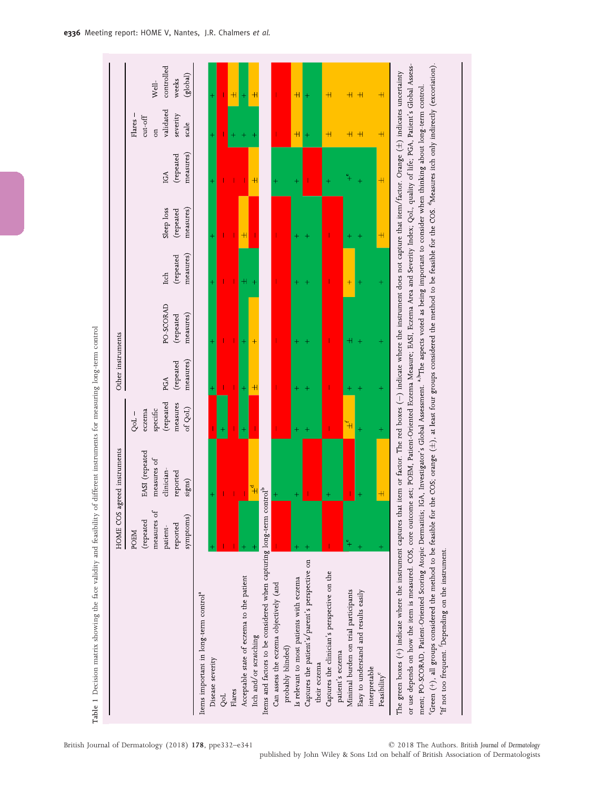|                                                                                                                                                                                                                                                                                                                                                                                                                                                                                                                                                                                                                                                                                                                                                                                     | HOME COS                                                                     | agreed instruments                                                                                                                       |                                                                 | Other instruments             |                                     |                                |                                      |                               |                                                                        |                                                   |
|-------------------------------------------------------------------------------------------------------------------------------------------------------------------------------------------------------------------------------------------------------------------------------------------------------------------------------------------------------------------------------------------------------------------------------------------------------------------------------------------------------------------------------------------------------------------------------------------------------------------------------------------------------------------------------------------------------------------------------------------------------------------------------------|------------------------------------------------------------------------------|------------------------------------------------------------------------------------------------------------------------------------------|-----------------------------------------------------------------|-------------------------------|-------------------------------------|--------------------------------|--------------------------------------|-------------------------------|------------------------------------------------------------------------|---------------------------------------------------|
|                                                                                                                                                                                                                                                                                                                                                                                                                                                                                                                                                                                                                                                                                                                                                                                     | measures of<br>symptoms)<br>(repeated<br>reported<br>patient-<br><b>POEM</b> | EASI (repeated<br>measures of<br>clinician-<br>reported<br>signs)                                                                        | (repeated<br>measures<br>of QoL)<br>specific<br>eczema<br>– IoQ | measures)<br>(repeated<br>PGA | PO-SCORAD<br>measures)<br>(repeated | measures)<br>(repeated<br>Itch | measures)<br>Sleep loss<br>(repeated | measures)<br>(repeated<br>IGA | validated<br>severity<br>$\mbox{cut-off}$<br>Flares<br>scale<br>$\sin$ | controlled<br>$(g\text{lobal})$<br>weeks<br>Well- |
| Items important in long-term control <sup>a</sup>                                                                                                                                                                                                                                                                                                                                                                                                                                                                                                                                                                                                                                                                                                                                   |                                                                              |                                                                                                                                          |                                                                 |                               |                                     |                                |                                      |                               |                                                                        |                                                   |
| Disease severity                                                                                                                                                                                                                                                                                                                                                                                                                                                                                                                                                                                                                                                                                                                                                                    |                                                                              |                                                                                                                                          |                                                                 |                               |                                     |                                |                                      |                               |                                                                        |                                                   |
| QoL                                                                                                                                                                                                                                                                                                                                                                                                                                                                                                                                                                                                                                                                                                                                                                                 |                                                                              |                                                                                                                                          | $^{+}$                                                          |                               |                                     |                                |                                      |                               |                                                                        |                                                   |
| Flares                                                                                                                                                                                                                                                                                                                                                                                                                                                                                                                                                                                                                                                                                                                                                                              |                                                                              |                                                                                                                                          |                                                                 |                               |                                     |                                |                                      |                               |                                                                        | $^{\rm +}$                                        |
| Acceptable state of eczema to the patient<br>Itch and/or scratching                                                                                                                                                                                                                                                                                                                                                                                                                                                                                                                                                                                                                                                                                                                 |                                                                              | $\vec{a}$                                                                                                                                | $^{+}$                                                          | $\overline{+}$<br>$^{+}$      | $\ddot{}$<br>$^{+}$                 | $\pm$                          | $\pm$<br>Ī                           | $^{\rm +}$                    |                                                                        | $^+$                                              |
| Items and factors to be considered when capturing long-term control <sup>b</sup>                                                                                                                                                                                                                                                                                                                                                                                                                                                                                                                                                                                                                                                                                                    |                                                                              |                                                                                                                                          |                                                                 |                               |                                     |                                |                                      |                               |                                                                        |                                                   |
| Can assess the eczema objectively (and<br>probably blinded)                                                                                                                                                                                                                                                                                                                                                                                                                                                                                                                                                                                                                                                                                                                         |                                                                              |                                                                                                                                          |                                                                 |                               |                                     |                                |                                      |                               |                                                                        |                                                   |
| Is relevant to most patients with eczema                                                                                                                                                                                                                                                                                                                                                                                                                                                                                                                                                                                                                                                                                                                                            |                                                                              |                                                                                                                                          |                                                                 |                               |                                     |                                |                                      | Ŧ                             | $^+$                                                                   | $^+$                                              |
| Captures the patient's/parent's perspective on                                                                                                                                                                                                                                                                                                                                                                                                                                                                                                                                                                                                                                                                                                                                      |                                                                              |                                                                                                                                          |                                                                 |                               |                                     |                                |                                      |                               | $^{+}$                                                                 |                                                   |
| their eczema                                                                                                                                                                                                                                                                                                                                                                                                                                                                                                                                                                                                                                                                                                                                                                        |                                                                              | $^{+}$                                                                                                                                   |                                                                 |                               |                                     |                                |                                      | $^{+}$                        | $^{\rm +}$                                                             | $^{\rm +}$                                        |
| Captures the clinician's perspective on the<br>patient's eczema                                                                                                                                                                                                                                                                                                                                                                                                                                                                                                                                                                                                                                                                                                                     |                                                                              |                                                                                                                                          |                                                                 |                               |                                     |                                |                                      |                               |                                                                        |                                                   |
| Minimal burden on trial participants                                                                                                                                                                                                                                                                                                                                                                                                                                                                                                                                                                                                                                                                                                                                                | \$                                                                           | ı                                                                                                                                        | $\ddot{}$                                                       |                               | $\pm$                               | $\ddot{}$                      |                                      |                               | $\pm$                                                                  | $^{\rm +}$                                        |
| Easy to understand and results easily                                                                                                                                                                                                                                                                                                                                                                                                                                                                                                                                                                                                                                                                                                                                               |                                                                              |                                                                                                                                          |                                                                 |                               |                                     |                                |                                      |                               | $^+$                                                                   | $^+$                                              |
| interpretable                                                                                                                                                                                                                                                                                                                                                                                                                                                                                                                                                                                                                                                                                                                                                                       |                                                                              |                                                                                                                                          |                                                                 |                               |                                     |                                |                                      |                               |                                                                        |                                                   |
| Feasibility <sup>c</sup>                                                                                                                                                                                                                                                                                                                                                                                                                                                                                                                                                                                                                                                                                                                                                            |                                                                              | $+$                                                                                                                                      |                                                                 | $\color{red}+$                |                                     | ł,                             | $+$                                  | $\overline{+}$                | $\overline{+}$                                                         | $\overline{+}$                                    |
| or use depends on how the item is measured. COS, core outcome set; POEM, Patient-Oriented Eczema Measure; EASI, Eczema Area and Severity Index; QoL, quality of life; PGA, Patient's Global Assess-<br>The green boxes (+) indicate where the instrument captures that item or factor. The red boxes (-) indicate where the instrument does not capture that item/factor. Orange ( $\pm$ ) indicates uncertainty<br>ment; PO-SCORAD, Patient-Oriented Scoring Atopic Dermattis; IGA, Investigator's Global Assessment. <sup>ab</sup> The aspects voted as being important to consider when thinking about long-term control.<br>$G$ reen $(+)$ , all groups considered the method to be feasible for<br><sup>6</sup> If not too frequent. <sup>1</sup> Depending on the instrument. |                                                                              | the COS; orange (±), at least four groups considered the method to be feasible for the COS. "Measures itch only indirectly (excoriation) |                                                                 |                               |                                     |                                |                                      |                               |                                                                        |                                                   |

Table 1 Decision matrix showing the face validity and feasibility of different instruments for measuring long-term control Table 1 Decision matrix showing the face validity and feasibility of different instruments for measuring long-term control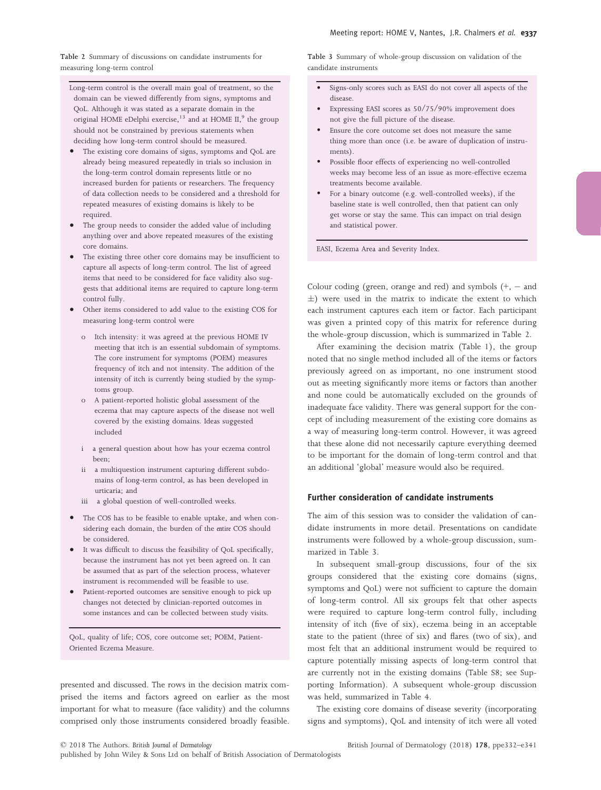Table 2 Summary of discussions on candidate instruments for measuring long-term control

Long-term control is the overall main goal of treatment, so the domain can be viewed differently from signs, symptoms and QoL. Although it was stated as a separate domain in the original HOME eDelphi exercise, $13$  and at HOME II,<sup>9</sup> the group should not be constrained by previous statements when deciding how long-term control should be measured.

- The existing core domains of signs, symptoms and QoL are already being measured repeatedly in trials so inclusion in the long-term control domain represents little or no increased burden for patients or researchers. The frequency of data collection needs to be considered and a threshold for repeated measures of existing domains is likely to be required.
- The group needs to consider the added value of including anything over and above repeated measures of the existing core domains.
- The existing three other core domains may be insufficient to capture all aspects of long-term control. The list of agreed items that need to be considered for face validity also suggests that additional items are required to capture long-term control fully.
- Other items considered to add value to the existing COS for measuring long-term control were
	- o Itch intensity: it was agreed at the previous HOME IV meeting that itch is an essential subdomain of symptoms. The core instrument for symptoms (POEM) measures frequency of itch and not intensity. The addition of the intensity of itch is currently being studied by the symptoms group.
	- o A patient-reported holistic global assessment of the eczema that may capture aspects of the disease not well covered by the existing domains. Ideas suggested included
	- i a general question about how has your eczema control been;
	- ii a multiquestion instrument capturing different subdomains of long-term control, as has been developed in urticaria; and
	- iii a global question of well-controlled weeks.
- The COS has to be feasible to enable uptake, and when considering each domain, the burden of the entire COS should be considered.
- It was difficult to discuss the feasibility of QoL specifically, because the instrument has not yet been agreed on. It can be assumed that as part of the selection process, whatever instrument is recommended will be feasible to use.
- Patient-reported outcomes are sensitive enough to pick up changes not detected by clinician-reported outcomes in some instances and can be collected between study visits.

QoL, quality of life; COS, core outcome set; POEM, Patient-Oriented Eczema Measure.

presented and discussed. The rows in the decision matrix comprised the items and factors agreed on earlier as the most important for what to measure (face validity) and the columns comprised only those instruments considered broadly feasible. Table 3 Summary of whole-group discussion on validation of the candidate instruments

- Signs-only scores such as EASI do not cover all aspects of the disease.
- Expressing EASI scores as  $50/75/90\%$  improvement does not give the full picture of the disease.
- Ensure the core outcome set does not measure the same thing more than once (i.e. be aware of duplication of instruments).
- Possible floor effects of experiencing no well-controlled weeks may become less of an issue as more-effective eczema treatments become available.
- For a binary outcome (e.g. well-controlled weeks), if the baseline state is well controlled, then that patient can only get worse or stay the same. This can impact on trial design and statistical power.

EASI, Eczema Area and Severity Index.

Colour coding (green, orange and red) and symbols  $(+, -$  and  $\pm$ ) were used in the matrix to indicate the extent to which each instrument captures each item or factor. Each participant was given a printed copy of this matrix for reference during the whole-group discussion, which is summarized in Table 2.

After examining the decision matrix (Table 1), the group noted that no single method included all of the items or factors previously agreed on as important, no one instrument stood out as meeting significantly more items or factors than another and none could be automatically excluded on the grounds of inadequate face validity. There was general support for the concept of including measurement of the existing core domains as a way of measuring long-term control. However, it was agreed that these alone did not necessarily capture everything deemed to be important for the domain of long-term control and that an additional 'global' measure would also be required.

### Further consideration of candidate instruments

The aim of this session was to consider the validation of candidate instruments in more detail. Presentations on candidate instruments were followed by a whole-group discussion, summarized in Table 3.

In subsequent small-group discussions, four of the six groups considered that the existing core domains (signs, symptoms and QoL) were not sufficient to capture the domain of long-term control. All six groups felt that other aspects were required to capture long-term control fully, including intensity of itch (five of six), eczema being in an acceptable state to the patient (three of six) and flares (two of six), and most felt that an additional instrument would be required to capture potentially missing aspects of long-term control that are currently not in the existing domains (Table S8; see Supporting Information). A subsequent whole-group discussion was held, summarized in Table 4.

The existing core domains of disease severity (incorporating signs and symptoms), QoL and intensity of itch were all voted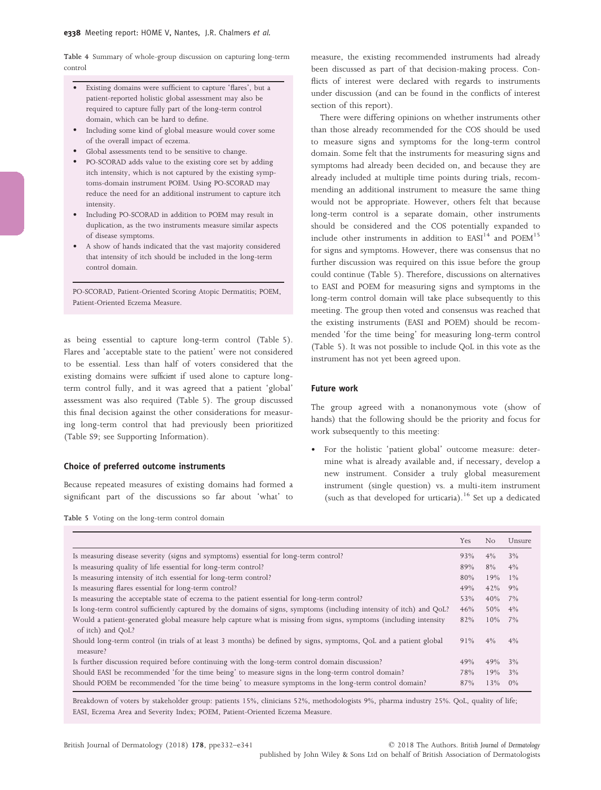Table 4 Summary of whole-group discussion on capturing long-term control

- Existing domains were sufficient to capture 'flares', but a patient-reported holistic global assessment may also be required to capture fully part of the long-term control domain, which can be hard to define.
- Including some kind of global measure would cover some of the overall impact of eczema.
- Global assessments tend to be sensitive to change.
- PO-SCORAD adds value to the existing core set by adding itch intensity, which is not captured by the existing symptoms-domain instrument POEM. Using PO-SCORAD may reduce the need for an additional instrument to capture itch intensity.
- Including PO-SCORAD in addition to POEM may result in duplication, as the two instruments measure similar aspects of disease symptoms.
- A show of hands indicated that the vast majority considered that intensity of itch should be included in the long-term control domain.

PO-SCORAD, Patient-Oriented Scoring Atopic Dermatitis; POEM, Patient-Oriented Eczema Measure.

as being essential to capture long-term control (Table 5). Flares and 'acceptable state to the patient' were not considered to be essential. Less than half of voters considered that the existing domains were sufficient if used alone to capture longterm control fully, and it was agreed that a patient 'global' assessment was also required (Table 5). The group discussed this final decision against the other considerations for measuring long-term control that had previously been prioritized (Table S9; see Supporting Information).

#### Choice of preferred outcome instruments

Because repeated measures of existing domains had formed a significant part of the discussions so far about 'what' to

Table 5 Voting on the long-term control domain

measure, the existing recommended instruments had already been discussed as part of that decision-making process. Conflicts of interest were declared with regards to instruments under discussion (and can be found in the conflicts of interest section of this report).

There were differing opinions on whether instruments other than those already recommended for the COS should be used to measure signs and symptoms for the long-term control domain. Some felt that the instruments for measuring signs and symptoms had already been decided on, and because they are already included at multiple time points during trials, recommending an additional instrument to measure the same thing would not be appropriate. However, others felt that because long-term control is a separate domain, other instruments should be considered and the COS potentially expanded to include other instruments in addition to  $EASI^{14}$  and  $POEM^{15}$ for signs and symptoms. However, there was consensus that no further discussion was required on this issue before the group could continue (Table 5). Therefore, discussions on alternatives to EASI and POEM for measuring signs and symptoms in the long-term control domain will take place subsequently to this meeting. The group then voted and consensus was reached that the existing instruments (EASI and POEM) should be recommended 'for the time being' for measuring long-term control (Table 5). It was not possible to include QoL in this vote as the instrument has not yet been agreed upon.

## Future work

The group agreed with a nonanonymous vote (show of hands) that the following should be the priority and focus for work subsequently to this meeting:

• For the holistic 'patient global' outcome measure: determine what is already available and, if necessary, develop a new instrument. Consider a truly global measurement instrument (single question) vs. a multi-item instrument (such as that developed for urticaria).<sup>16</sup> Set up a dedicated

|                                                                                                                                      | <b>Yes</b> | No.   | Unsure |
|--------------------------------------------------------------------------------------------------------------------------------------|------------|-------|--------|
| Is measuring disease severity (signs and symptoms) essential for long-term control?                                                  | 93%        | $4\%$ | $3\%$  |
| Is measuring quality of life essential for long-term control?                                                                        | 89%        | $8\%$ | 4%     |
| Is measuring intensity of itch essential for long-term control?                                                                      | 80%        | 19%   | $1\%$  |
| Is measuring flares essential for long-term control?                                                                                 | 49%        | 42%   | 9%     |
| Is measuring the acceptable state of eczema to the patient essential for long-term control?                                          | 53%        | 40%   | 7%     |
| Is long-term control sufficiently captured by the domains of signs, symptoms (including intensity of itch) and QoL?                  | 46%        | 50%   | 4%     |
| Would a patient-generated global measure help capture what is missing from signs, symptoms (including intensity<br>of itch) and QoL? | 82%        | 10%   | $7\%$  |
| Should long-term control (in trials of at least 3 months) be defined by signs, symptoms, QoL and a patient global<br>measure?        | 91%        | $4\%$ | 4%     |
| Is further discussion required before continuing with the long-term control domain discussion?                                       | 49%        | 49%   | 3%     |
| Should EASI be recommended 'for the time being' to measure signs in the long-term control domain?                                    | 78%        | 19%   | 3%     |
| Should POEM be recommended 'for the time being' to measure symptoms in the long-term control domain?                                 | 87%        | 13%   | $0\%$  |

Breakdown of voters by stakeholder group: patients 15%, clinicians 52%, methodologists 9%, pharma industry 25%. QoL, quality of life; EASI, Eczema Area and Severity Index; POEM, Patient-Oriented Eczema Measure.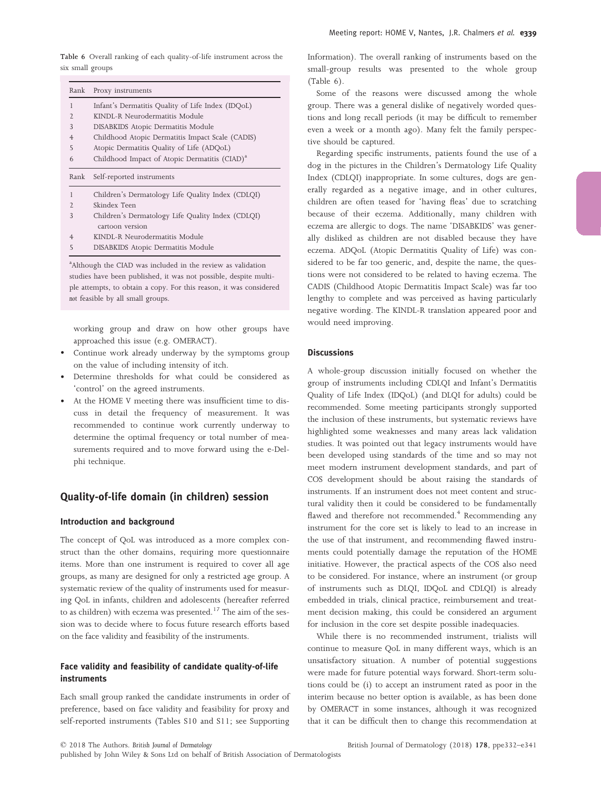Table 6 Overall ranking of each quality-of-life instrument across the six small groups

| Rank           | Proxy instruments                                         |
|----------------|-----------------------------------------------------------|
| 1              | Infant's Dermatitis Quality of Life Index (IDQoL)         |
| V              | KINDL-R Neurodermatitis Module                            |
| 3              | DISABKIDS Atopic Dermatitis Module                        |
| $\overline{4}$ | Childhood Atopic Dermatitis Impact Scale (CADIS)          |
| 5              | Atopic Dermatitis Quality of Life (ADQoL)                 |
| 6              | Childhood Impact of Atopic Dermatitis (CIAD) <sup>a</sup> |
|                |                                                           |
| Rank           | Self-reported instruments                                 |
| 1              | Children's Dermatology Life Quality Index (CDLQI)         |
| $\mathcal{D}$  | Skindex Teen                                              |
| 3              | Children's Dermatology Life Quality Index (CDLQI)         |
|                | cartoon version                                           |
| $\overline{4}$ | KINDL-R Neurodermatitis Module                            |

a Although the CIAD was included in the review as validation studies have been published, it was not possible, despite multiple attempts, to obtain a copy. For this reason, it was considered not feasible by all small groups.

working group and draw on how other groups have approached this issue (e.g. OMERACT).

- Continue work already underway by the symptoms group on the value of including intensity of itch.
- Determine thresholds for what could be considered as 'control' on the agreed instruments.
- At the HOME V meeting there was insufficient time to discuss in detail the frequency of measurement. It was recommended to continue work currently underway to determine the optimal frequency or total number of measurements required and to move forward using the e-Delphi technique.

# Quality-of-life domain (in children) session

## Introduction and background

The concept of QoL was introduced as a more complex construct than the other domains, requiring more questionnaire items. More than one instrument is required to cover all age groups, as many are designed for only a restricted age group. A systematic review of the quality of instruments used for measuring QoL in infants, children and adolescents (hereafter referred to as children) with eczema was presented.<sup>17</sup> The aim of the session was to decide where to focus future research efforts based on the face validity and feasibility of the instruments.

# Face validity and feasibility of candidate quality-of-life instruments

Each small group ranked the candidate instruments in order of preference, based on face validity and feasibility for proxy and self-reported instruments (Tables S10 and S11; see Supporting Information). The overall ranking of instruments based on the small-group results was presented to the whole group (Table 6).

Some of the reasons were discussed among the whole group. There was a general dislike of negatively worded questions and long recall periods (it may be difficult to remember even a week or a month ago). Many felt the family perspective should be captured.

Regarding specific instruments, patients found the use of a dog in the pictures in the Children's Dermatology Life Quality Index (CDLQI) inappropriate. In some cultures, dogs are generally regarded as a negative image, and in other cultures, children are often teased for 'having fleas' due to scratching because of their eczema. Additionally, many children with eczema are allergic to dogs. The name 'DISABKIDS' was generally disliked as children are not disabled because they have eczema. ADQoL (Atopic Dermatitis Quality of Life) was considered to be far too generic, and, despite the name, the questions were not considered to be related to having eczema. The CADIS (Childhood Atopic Dermatitis Impact Scale) was far too lengthy to complete and was perceived as having particularly negative wording. The KINDL-R translation appeared poor and would need improving.

### **Discussions**

A whole-group discussion initially focused on whether the group of instruments including CDLQI and Infant's Dermatitis Quality of Life Index (IDQoL) (and DLQI for adults) could be recommended. Some meeting participants strongly supported the inclusion of these instruments, but systematic reviews have highlighted some weaknesses and many areas lack validation studies. It was pointed out that legacy instruments would have been developed using standards of the time and so may not meet modern instrument development standards, and part of COS development should be about raising the standards of instruments. If an instrument does not meet content and structural validity then it could be considered to be fundamentally flawed and therefore not recommended.<sup>4</sup> Recommending any instrument for the core set is likely to lead to an increase in the use of that instrument, and recommending flawed instruments could potentially damage the reputation of the HOME initiative. However, the practical aspects of the COS also need to be considered. For instance, where an instrument (or group of instruments such as DLQI, IDQoL and CDLQI) is already embedded in trials, clinical practice, reimbursement and treatment decision making, this could be considered an argument for inclusion in the core set despite possible inadequacies.

While there is no recommended instrument, trialists will continue to measure QoL in many different ways, which is an unsatisfactory situation. A number of potential suggestions were made for future potential ways forward. Short-term solutions could be (i) to accept an instrument rated as poor in the interim because no better option is available, as has been done by OMERACT in some instances, although it was recognized that it can be difficult then to change this recommendation at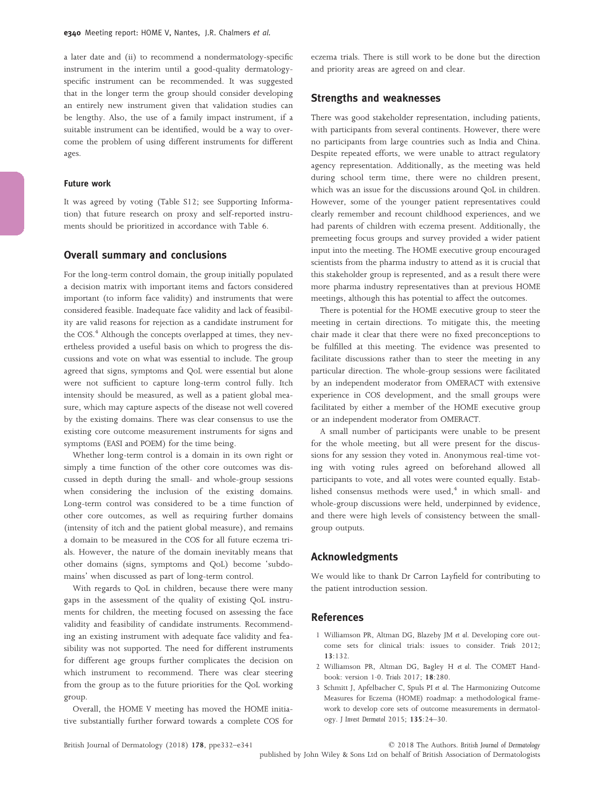a later date and (ii) to recommend a nondermatology-specific instrument in the interim until a good-quality dermatologyspecific instrument can be recommended. It was suggested that in the longer term the group should consider developing an entirely new instrument given that validation studies can be lengthy. Also, the use of a family impact instrument, if a suitable instrument can be identified, would be a way to overcome the problem of using different instruments for different ages.

#### Future work

It was agreed by voting (Table S12; see Supporting Information) that future research on proxy and self-reported instruments should be prioritized in accordance with Table 6.

## Overall summary and conclusions

For the long-term control domain, the group initially populated a decision matrix with important items and factors considered important (to inform face validity) and instruments that were considered feasible. Inadequate face validity and lack of feasibility are valid reasons for rejection as a candidate instrument for the COS.<sup>4</sup> Although the concepts overlapped at times, they nevertheless provided a useful basis on which to progress the discussions and vote on what was essential to include. The group agreed that signs, symptoms and QoL were essential but alone were not sufficient to capture long-term control fully. Itch intensity should be measured, as well as a patient global measure, which may capture aspects of the disease not well covered by the existing domains. There was clear consensus to use the existing core outcome measurement instruments for signs and symptoms (EASI and POEM) for the time being.

Whether long-term control is a domain in its own right or simply a time function of the other core outcomes was discussed in depth during the small- and whole-group sessions when considering the inclusion of the existing domains. Long-term control was considered to be a time function of other core outcomes, as well as requiring further domains (intensity of itch and the patient global measure), and remains a domain to be measured in the COS for all future eczema trials. However, the nature of the domain inevitably means that other domains (signs, symptoms and QoL) become 'subdomains' when discussed as part of long-term control.

With regards to QoL in children, because there were many gaps in the assessment of the quality of existing QoL instruments for children, the meeting focused on assessing the face validity and feasibility of candidate instruments. Recommending an existing instrument with adequate face validity and feasibility was not supported. The need for different instruments for different age groups further complicates the decision on which instrument to recommend. There was clear steering from the group as to the future priorities for the QoL working group.

Overall, the HOME V meeting has moved the HOME initiative substantially further forward towards a complete COS for eczema trials. There is still work to be done but the direction and priority areas are agreed on and clear.

## Strengths and weaknesses

There was good stakeholder representation, including patients, with participants from several continents. However, there were no participants from large countries such as India and China. Despite repeated efforts, we were unable to attract regulatory agency representation. Additionally, as the meeting was held during school term time, there were no children present, which was an issue for the discussions around QoL in children. However, some of the younger patient representatives could clearly remember and recount childhood experiences, and we had parents of children with eczema present. Additionally, the premeeting focus groups and survey provided a wider patient input into the meeting. The HOME executive group encouraged scientists from the pharma industry to attend as it is crucial that this stakeholder group is represented, and as a result there were more pharma industry representatives than at previous HOME meetings, although this has potential to affect the outcomes.

There is potential for the HOME executive group to steer the meeting in certain directions. To mitigate this, the meeting chair made it clear that there were no fixed preconceptions to be fulfilled at this meeting. The evidence was presented to facilitate discussions rather than to steer the meeting in any particular direction. The whole-group sessions were facilitated by an independent moderator from OMERACT with extensive experience in COS development, and the small groups were facilitated by either a member of the HOME executive group or an independent moderator from OMERACT.

A small number of participants were unable to be present for the whole meeting, but all were present for the discussions for any session they voted in. Anonymous real-time voting with voting rules agreed on beforehand allowed all participants to vote, and all votes were counted equally. Established consensus methods were used, $4$  in which small- and whole-group discussions were held, underpinned by evidence, and there were high levels of consistency between the smallgroup outputs.

# Acknowledgments

We would like to thank Dr Carron Layfield for contributing to the patient introduction session.

# References

- 1 Williamson PR, Altman DG, Blazeby JM et al. Developing core outcome sets for clinical trials: issues to consider. Trials 2012; 13:132.
- 2 Williamson PR, Altman DG, Bagley H et al. The COMET Handbook: version 1.0. Trials 2017; 18:280.
- 3 Schmitt J, Apfelbacher C, Spuls PI et al. The Harmonizing Outcome Measures for Eczema (HOME) roadmap: a methodological framework to develop core sets of outcome measurements in dermatology. J Invest Dermatol 2015; 135:24–30.